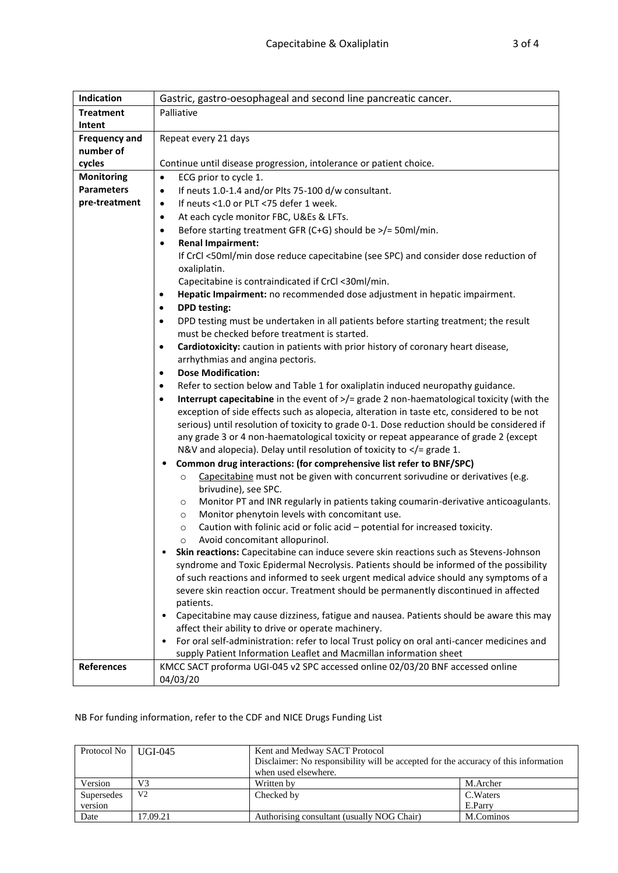| Indication           | Gastric, gastro-oesophageal and second line pancreatic cancer.                                                                                                                     |  |  |  |  |
|----------------------|------------------------------------------------------------------------------------------------------------------------------------------------------------------------------------|--|--|--|--|
| <b>Treatment</b>     | Palliative                                                                                                                                                                         |  |  |  |  |
| Intent               |                                                                                                                                                                                    |  |  |  |  |
| <b>Frequency and</b> | Repeat every 21 days                                                                                                                                                               |  |  |  |  |
| number of            |                                                                                                                                                                                    |  |  |  |  |
| cycles               | Continue until disease progression, intolerance or patient choice.                                                                                                                 |  |  |  |  |
| <b>Monitoring</b>    | $\bullet$<br>ECG prior to cycle 1.                                                                                                                                                 |  |  |  |  |
| <b>Parameters</b>    | If neuts 1.0-1.4 and/or Plts 75-100 d/w consultant.<br>$\bullet$                                                                                                                   |  |  |  |  |
| pre-treatment        | If neuts <1.0 or PLT <75 defer 1 week.<br>$\bullet$                                                                                                                                |  |  |  |  |
|                      | At each cycle monitor FBC, U&Es & LFTs.<br>$\bullet$                                                                                                                               |  |  |  |  |
|                      | Before starting treatment GFR (C+G) should be $\frac{1}{5}$ 50ml/min.<br>$\bullet$                                                                                                 |  |  |  |  |
|                      | <b>Renal Impairment:</b><br>$\bullet$                                                                                                                                              |  |  |  |  |
|                      | If CrCl <50ml/min dose reduce capecitabine (see SPC) and consider dose reduction of                                                                                                |  |  |  |  |
|                      | oxaliplatin.                                                                                                                                                                       |  |  |  |  |
|                      | Capecitabine is contraindicated if CrCl <30ml/min.                                                                                                                                 |  |  |  |  |
|                      | Hepatic Impairment: no recommended dose adjustment in hepatic impairment.<br>$\bullet$                                                                                             |  |  |  |  |
|                      | <b>DPD</b> testing:<br>$\bullet$                                                                                                                                                   |  |  |  |  |
|                      | DPD testing must be undertaken in all patients before starting treatment; the result<br>$\bullet$                                                                                  |  |  |  |  |
|                      | must be checked before treatment is started.                                                                                                                                       |  |  |  |  |
|                      | Cardiotoxicity: caution in patients with prior history of coronary heart disease,<br>$\bullet$                                                                                     |  |  |  |  |
|                      | arrhythmias and angina pectoris.                                                                                                                                                   |  |  |  |  |
|                      | <b>Dose Modification:</b><br>$\bullet$                                                                                                                                             |  |  |  |  |
|                      | Refer to section below and Table 1 for oxaliplatin induced neuropathy guidance.<br>$\bullet$                                                                                       |  |  |  |  |
|                      | Interrupt capecitabine in the event of >/= grade 2 non-haematological toxicity (with the<br>$\bullet$                                                                              |  |  |  |  |
|                      | exception of side effects such as alopecia, alteration in taste etc, considered to be not                                                                                          |  |  |  |  |
|                      | serious) until resolution of toxicity to grade 0-1. Dose reduction should be considered if<br>any grade 3 or 4 non-haematological toxicity or repeat appearance of grade 2 (except |  |  |  |  |
|                      | N&V and alopecia). Delay until resolution of toxicity to $\lt/$ = grade 1.                                                                                                         |  |  |  |  |
|                      | Common drug interactions: (for comprehensive list refer to BNF/SPC)<br>$\bullet$                                                                                                   |  |  |  |  |
|                      | Capecitabine must not be given with concurrent sorivudine or derivatives (e.g.<br>$\circ$                                                                                          |  |  |  |  |
|                      | brivudine), see SPC.                                                                                                                                                               |  |  |  |  |
|                      | Monitor PT and INR regularly in patients taking coumarin-derivative anticoagulants.<br>$\circ$                                                                                     |  |  |  |  |
|                      | Monitor phenytoin levels with concomitant use.<br>$\circ$                                                                                                                          |  |  |  |  |
|                      | Caution with folinic acid or folic acid - potential for increased toxicity.<br>$\circ$                                                                                             |  |  |  |  |
|                      | Avoid concomitant allopurinol.<br>O                                                                                                                                                |  |  |  |  |
|                      | Skin reactions: Capecitabine can induce severe skin reactions such as Stevens-Johnson                                                                                              |  |  |  |  |
|                      | syndrome and Toxic Epidermal Necrolysis. Patients should be informed of the possibility                                                                                            |  |  |  |  |
|                      | of such reactions and informed to seek urgent medical advice should any symptoms of a                                                                                              |  |  |  |  |
|                      | severe skin reaction occur. Treatment should be permanently discontinued in affected                                                                                               |  |  |  |  |
|                      | patients.                                                                                                                                                                          |  |  |  |  |
|                      | Capecitabine may cause dizziness, fatigue and nausea. Patients should be aware this may<br>$\bullet$                                                                               |  |  |  |  |
|                      | affect their ability to drive or operate machinery.                                                                                                                                |  |  |  |  |
|                      | For oral self-administration: refer to local Trust policy on oral anti-cancer medicines and<br>$\bullet$                                                                           |  |  |  |  |
|                      | supply Patient Information Leaflet and Macmillan information sheet                                                                                                                 |  |  |  |  |
| References           | KMCC SACT proforma UGI-045 v2 SPC accessed online 02/03/20 BNF accessed online                                                                                                     |  |  |  |  |
|                      | 04/03/20                                                                                                                                                                           |  |  |  |  |

## NB For funding information, refer to the CDF and NICE Drugs Funding List

| Protocol No   UGI-045 |                | Kent and Medway SACT Protocol<br>Disclaimer: No responsibility will be accepted for the accuracy of this information<br>when used elsewhere. |           |
|-----------------------|----------------|----------------------------------------------------------------------------------------------------------------------------------------------|-----------|
| Version               | V3             | Written by                                                                                                                                   | M.Archer  |
| Supersedes            | V <sub>2</sub> | Checked by                                                                                                                                   | C. Waters |
| version               |                |                                                                                                                                              | E.Parry   |
| Date                  | 17.09.21       | Authorising consultant (usually NOG Chair)                                                                                                   | M.Cominos |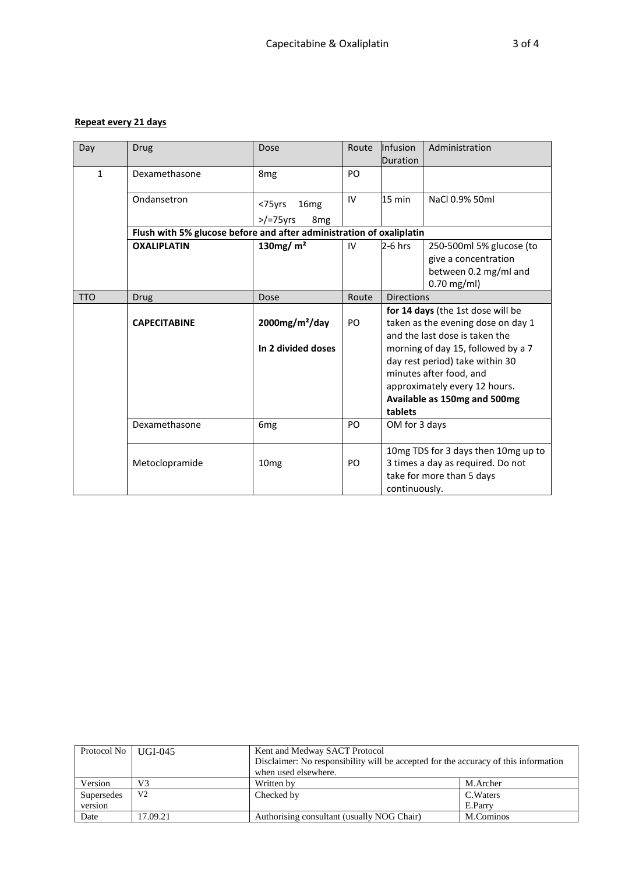# **Repeat every 21 days**

| Day          | <b>Drug</b>                                                          | Dose                                                         | Route          | <b>Infusion</b><br>Duration                                                                                                                                                                                                                                                               | Administration                                                                                        |
|--------------|----------------------------------------------------------------------|--------------------------------------------------------------|----------------|-------------------------------------------------------------------------------------------------------------------------------------------------------------------------------------------------------------------------------------------------------------------------------------------|-------------------------------------------------------------------------------------------------------|
| $\mathbf{1}$ | Dexamethasone                                                        | 8 <sub>mg</sub>                                              | P <sub>O</sub> |                                                                                                                                                                                                                                                                                           |                                                                                                       |
|              | Ondansetron                                                          | 16 <sub>mg</sub><br><75yrs<br>$>$ /=75yrs<br>8 <sub>mg</sub> | IV             | 15 min                                                                                                                                                                                                                                                                                    | NaCl 0.9% 50ml                                                                                        |
|              | Flush with 5% glucose before and after administration of oxaliplatin |                                                              |                |                                                                                                                                                                                                                                                                                           |                                                                                                       |
|              | <b>OXALIPLATIN</b>                                                   | 130mg/ $m2$                                                  | IV             | $2-6$ hrs                                                                                                                                                                                                                                                                                 | 250-500ml 5% glucose (to<br>give a concentration<br>between 0.2 mg/ml and<br>$0.70$ mg/ml)            |
| <b>TTO</b>   | <b>Drug</b>                                                          | Dose                                                         | Route          | <b>Directions</b>                                                                                                                                                                                                                                                                         |                                                                                                       |
|              | <b>CAPECITABINE</b>                                                  | $2000$ mg/m <sup>2</sup> /day<br>In 2 divided doses          | PO             | for 14 days (the 1st dose will be<br>taken as the evening dose on day 1<br>and the last dose is taken the<br>morning of day 15, followed by a 7<br>day rest period) take within 30<br>minutes after food, and<br>approximately every 12 hours.<br>Available as 150mg and 500mg<br>tablets |                                                                                                       |
|              | Dexamethasone                                                        | 6 <sub>mg</sub>                                              | P <sub>O</sub> | OM for 3 days                                                                                                                                                                                                                                                                             |                                                                                                       |
|              | Metoclopramide                                                       | 10 <sub>mg</sub>                                             | PO             | continuously.                                                                                                                                                                                                                                                                             | 10mg TDS for 3 days then 10mg up to<br>3 times a day as required. Do not<br>take for more than 5 days |

| Protocol No   UGI-045 |                | Kent and Medway SACT Protocol                                                       |           |  |
|-----------------------|----------------|-------------------------------------------------------------------------------------|-----------|--|
|                       |                | Disclaimer: No responsibility will be accepted for the accuracy of this information |           |  |
|                       |                | when used elsewhere.                                                                |           |  |
| Version               | V <sub>3</sub> | Written by                                                                          | M.Archer  |  |
| Supersedes            | V <sub>2</sub> | Checked by                                                                          | C. Waters |  |
| version               |                |                                                                                     | E.Parry   |  |
| Date                  | 17.09.21       | Authorising consultant (usually NOG Chair)                                          | M.Cominos |  |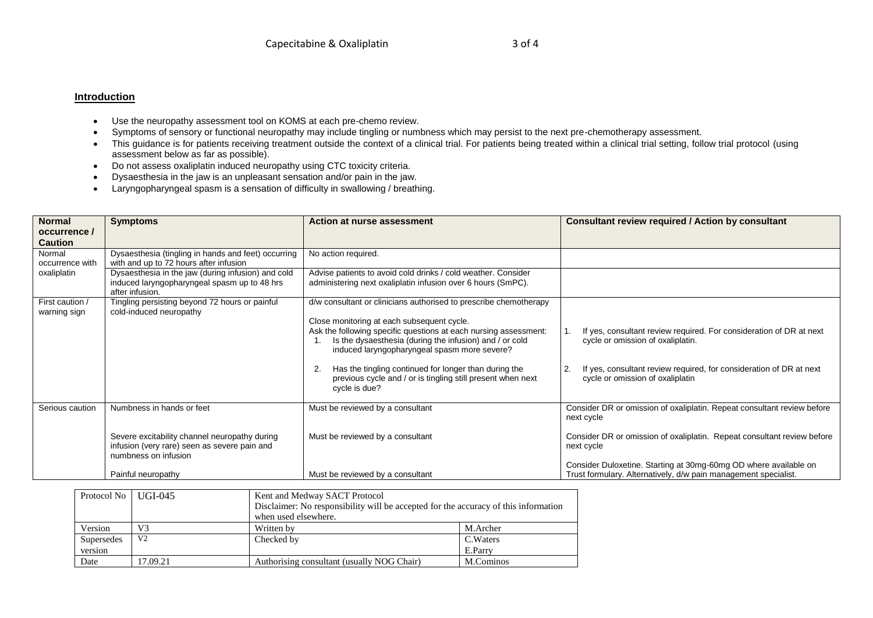### **Introduction**

- Use the neuropathy assessment tool on KOMS at each pre-chemo review.
- Symptoms of sensory or functional neuropathy may include tingling or numbness which may persist to the next pre-chemotherapy assessment.
- This guidance is for patients receiving treatment outside the context of a clinical trial. For patients being treated within a clinical trial setting, follow trial protocol (using assessment below as far as possible).
- Do not assess oxaliplatin induced neuropathy using CTC toxicity criteria.
- Dysaesthesia in the jaw is an unpleasant sensation and/or pain in the jaw.
- Laryngopharyngeal spasm is a sensation of difficulty in swallowing / breathing.

| <b>Normal</b><br>occurrence /<br><b>Caution</b> | <b>Symptoms</b>                                                                                                       | <b>Action at nurse assessment</b>                                                                                                                                                                                                                                                                                                                                                                                                             | Consultant review required / Action by consultant                                                                                                                                                                         |
|-------------------------------------------------|-----------------------------------------------------------------------------------------------------------------------|-----------------------------------------------------------------------------------------------------------------------------------------------------------------------------------------------------------------------------------------------------------------------------------------------------------------------------------------------------------------------------------------------------------------------------------------------|---------------------------------------------------------------------------------------------------------------------------------------------------------------------------------------------------------------------------|
| Normal<br>occurrence with                       | Dysaesthesia (tingling in hands and feet) occurring<br>with and up to 72 hours after infusion                         | No action required.                                                                                                                                                                                                                                                                                                                                                                                                                           |                                                                                                                                                                                                                           |
| oxaliplatin                                     | Dysaesthesia in the jaw (during infusion) and cold<br>induced laryngopharyngeal spasm up to 48 hrs<br>after infusion. | Advise patients to avoid cold drinks / cold weather. Consider<br>administering next oxaliplatin infusion over 6 hours (SmPC).                                                                                                                                                                                                                                                                                                                 |                                                                                                                                                                                                                           |
| First caution /<br>warning sign                 | Tingling persisting beyond 72 hours or painful<br>cold-induced neuropathy                                             | d/w consultant or clinicians authorised to prescribe chemotherapy<br>Close monitoring at each subsequent cycle.<br>Ask the following specific questions at each nursing assessment:<br>Is the dysaesthesia (during the infusion) and / or cold<br>induced laryngopharyngeal spasm more severe?<br>Has the tingling continued for longer than during the<br>2.<br>previous cycle and / or is tingling still present when next<br>cycle is due? | If yes, consultant review required. For consideration of DR at next<br>cycle or omission of oxaliplatin.<br>If yes, consultant review required, for consideration of DR at next<br>2.<br>cycle or omission of oxaliplatin |
| Serious caution                                 | Numbness in hands or feet                                                                                             | Must be reviewed by a consultant                                                                                                                                                                                                                                                                                                                                                                                                              | Consider DR or omission of oxaliplatin. Repeat consultant review before<br>next cycle                                                                                                                                     |
|                                                 | Severe excitability channel neuropathy during<br>infusion (very rare) seen as severe pain and<br>numbness on infusion | Must be reviewed by a consultant                                                                                                                                                                                                                                                                                                                                                                                                              | Consider DR or omission of oxaliplatin. Repeat consultant review before<br>next cycle                                                                                                                                     |
|                                                 | Painful neuropathy                                                                                                    | Must be reviewed by a consultant                                                                                                                                                                                                                                                                                                                                                                                                              | Consider Duloxetine. Starting at 30mg-60mg OD where available on<br>Trust formulary. Alternatively, d/w pain management specialist.                                                                                       |

| Protocol No   UGI-045 |                | Kent and Medway SACT Protocol<br>Disclaimer: No responsibility will be accepted for the accuracy of this information<br>when used elsewhere. |           |
|-----------------------|----------------|----------------------------------------------------------------------------------------------------------------------------------------------|-----------|
| Version               | V3             | Written by                                                                                                                                   | M.Archer  |
| Supersedes            | V <sub>2</sub> | Checked by                                                                                                                                   | C. Waters |
| version               |                |                                                                                                                                              | E.Parry   |
| Date                  | 17.09.21       | Authorising consultant (usually NOG Chair)                                                                                                   | M.Cominos |